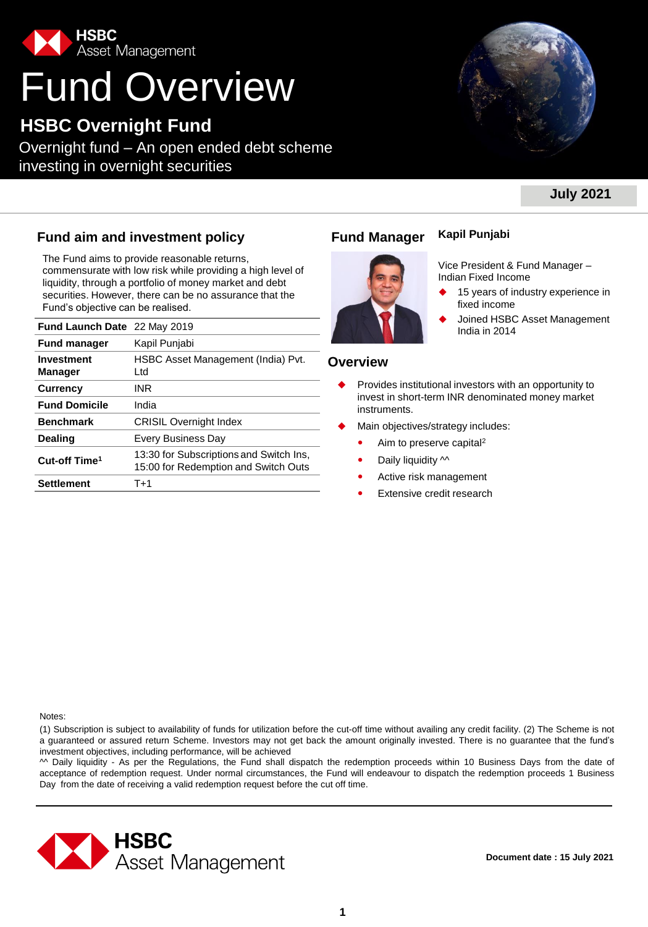

# Fund Overview

### **HSBC Overnight Fund**

Overnight fund – An open ended debt scheme investing in overnight securities



Vice President & Fund Manager –

15 years of industry experience in

Joined HSBC Asset Management<br>India in 2014

### **July 2021**

### **Fund aim and investment policy Fund Manager**

The Fund aims to provide reasonable returns, commensurate with low risk while providing a high level of liquidity, through a portfolio of money market and debt securities. However, there can be no assurance that the Fund's objective can be realised.

| Fund Launch Date 22 May 2019 |                                                                                 | JUILIEU LIPP<br>India in 2014                      |
|------------------------------|---------------------------------------------------------------------------------|----------------------------------------------------|
| <b>Fund manager</b>          | Kapil Punjabi                                                                   |                                                    |
| <b>Investment</b><br>Manager | HSBC Asset Management (India) Pvt.<br>Ltd                                       | <b>Overview</b>                                    |
| <b>Currency</b>              | INR                                                                             | Provides institutional investors with<br>$\bullet$ |
| <b>Fund Domicile</b>         | India                                                                           | invest in short-term INR denominat<br>instruments. |
| <b>Benchmark</b>             | <b>CRISIL Overnight Index</b>                                                   | Main objectives/strategy includes:                 |
| <b>Dealing</b>               | Every Business Day                                                              | Aim to preserve capital <sup>2</sup>               |
| Cut-off Time <sup>1</sup>    | 13:30 for Subscriptions and Switch Ins.<br>15:00 for Redemption and Switch Outs | Daily liquidity $\sim$<br>۰                        |
| <b>Settlement</b>            | T+1                                                                             | Active risk management<br>۰                        |



### **Overview**

 Provides institutional investors with an opportunity to invest in short-term INR denominated money market instruments.

**Kapil Punjabi**

Indian Fixed Income

fixed income

- Main objectives/strategy includes:
	- Aim to preserve capital<sup>2</sup>
	- Daily liquidity  $\sim$
	- Active risk management
	- Extensive credit research

Notes:

(1) Subscription is subject to availability of funds for utilization before the cut-off time without availing any credit facility. (2) The Scheme is not a guaranteed or assured return Scheme. Investors may not get back the amount originally invested. There is no guarantee that the fund's investment objectives, including performance, will be achieved

^^ Daily liquidity - As per the Regulations, the Fund shall dispatch the redemption proceeds within 10 Business Days from the date of acceptance of redemption request. Under normal circumstances, the Fund will endeavour to dispatch the redemption proceeds 1 Business Day from the date of receiving a valid redemption request before the cut off time.



**Document date : 15 July 2021**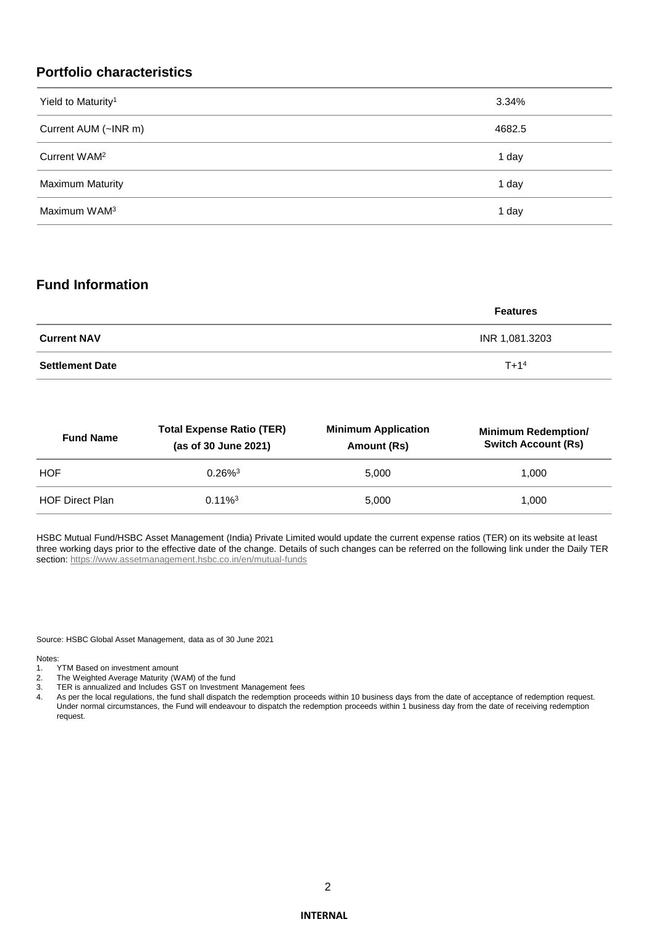### **Portfolio characteristics**

| Yield to Maturity <sup>1</sup> | 3.34%  |
|--------------------------------|--------|
| Current AUM (~INR m)           | 4682.5 |
| Current WAM <sup>2</sup>       | 1 day  |
| <b>Maximum Maturity</b>        | 1 day  |
| Maximum WAM <sup>3</sup>       | 1 day  |

### **Fund Information**

|                        | <b>Features</b> |
|------------------------|-----------------|
| <b>Current NAV</b>     | INR 1,081.3203  |
| <b>Settlement Date</b> | $T + 14$        |

| <b>Fund Name</b>       | <b>Total Expense Ratio (TER)</b><br>(as of 30 June 2021) | <b>Minimum Application</b><br>Amount (Rs) | <b>Minimum Redemption/</b><br><b>Switch Account (Rs)</b> |  |  |  |  |
|------------------------|----------------------------------------------------------|-------------------------------------------|----------------------------------------------------------|--|--|--|--|
| <b>HOF</b>             | $0.26\%$ <sup>3</sup>                                    | 5.000                                     | 1.000                                                    |  |  |  |  |
| <b>HOF Direct Plan</b> | $0.11\%$ <sup>3</sup>                                    | 5.000                                     | 1.000                                                    |  |  |  |  |

HSBC Mutual Fund/HSBC Asset Management (India) Private Limited would update the current expense ratios (TER) on its website at least three working days prior to the effective date of the change. Details of such changes can be referred on the following link under the Daily TER section:<https://www.assetmanagement.hsbc.co.in/en/mutual-funds>

Source: HSBC Global Asset Management, data as of 30 June 2021

Notes:<br>1.

- TYTM Based on investment amount
- 2. The Weighted Average Maturity (WAM) of the fund
- 3. TER is annualized and Includes GST on Investment Management fees
- 4. As per the local regulations, the fund shall dispatch the redemption proceeds within 10 business days from the date of acceptance of redemption request. Under normal circumstances, the Fund will endeavour to dispatch the redemption proceeds within 1 business day from the date of receiving redemption request.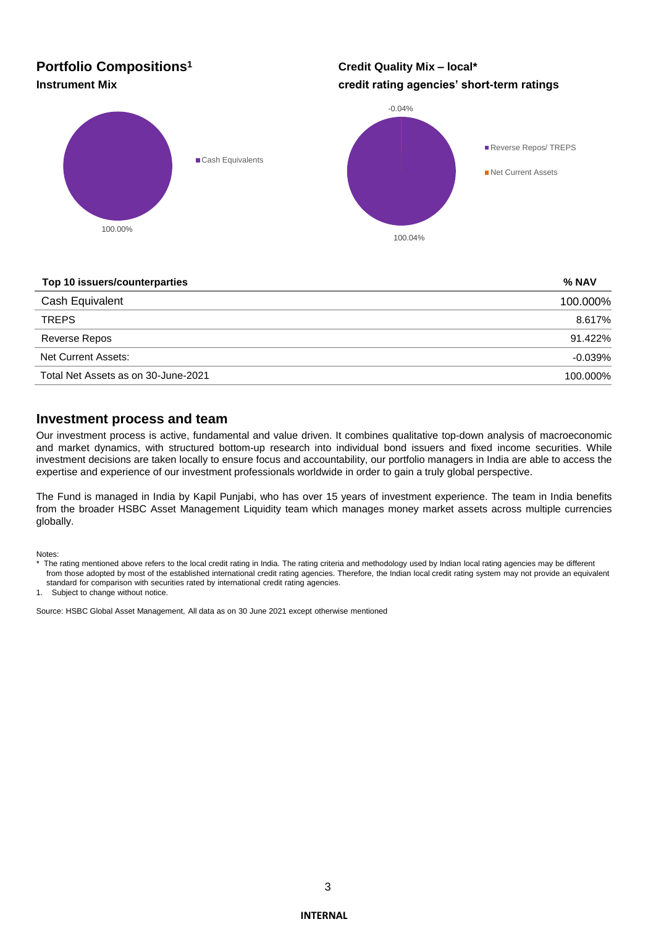## **Portfolio Compositions<sup>1</sup>**

**Credit Quality Mix – local\* Instrument Mix credit rating agencies' short-term ratings**



### **Top 10 issuers/counterparties % NAV**

| Cash Equivalent                     | 100.000%  |
|-------------------------------------|-----------|
| <b>TREPS</b>                        | 8.617%    |
| Reverse Repos                       | 91.422%   |
| Net Current Assets:                 | $-0.039%$ |
| Total Net Assets as on 30-June-2021 | 100.000%  |

### **Investment process and team**

Our investment process is active, fundamental and value driven. It combines qualitative top-down analysis of macroeconomic and market dynamics, with structured bottom-up research into individual bond issuers and fixed income securities. While investment decisions are taken locally to ensure focus and accountability, our portfolio managers in India are able to access the expertise and experience of our investment professionals worldwide in order to gain a truly global perspective.

The Fund is managed in India by Kapil Punjabi, who has over 15 years of investment experience. The team in India benefits from the broader HSBC Asset Management Liquidity team which manages money market assets across multiple currencies globally.

Notes:

1. Subject to change without notice.

Source: HSBC Global Asset Management, All data as on 30 June 2021 except otherwise mentioned

The rating mentioned above refers to the local credit rating in India. The rating criteria and methodology used by Indian local rating agencies may be different from those adopted by most of the established international credit rating agencies. Therefore, the Indian local credit rating system may not provide an equivalent standard for comparison with securities rated by international credit rating agencies.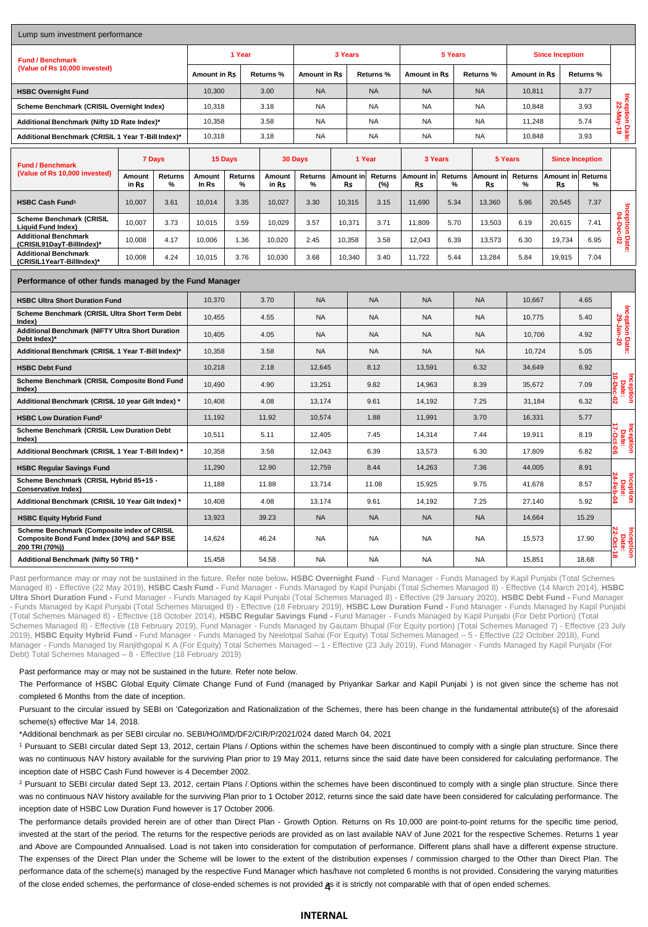| Lump sum investment performance                                                                              |                 |                     |                 |                 |                     |                        |                 |           |                     |                 |                        |                        |              |                             |                              |                                      |  |
|--------------------------------------------------------------------------------------------------------------|-----------------|---------------------|-----------------|-----------------|---------------------|------------------------|-----------------|-----------|---------------------|-----------------|------------------------|------------------------|--------------|-----------------------------|------------------------------|--------------------------------------|--|
| <b>Fund / Benchmark</b><br>(Value of Rs 10,000 invested)                                                     |                 | 1 Year              |                 |                 | 3 Years             |                        |                 |           | 5 Years             |                 | <b>Since Inception</b> |                        |              |                             |                              |                                      |  |
|                                                                                                              |                 | <b>Amount in Rs</b> | Returns %       |                 | <b>Amount in Rs</b> |                        | Returns %       |           | <b>Amount in Rs</b> |                 | Returns %              | <b>Amount in Rs</b>    |              | Returns %                   |                              |                                      |  |
| <b>HSBC Overnight Fund</b>                                                                                   |                 | 10,300              |                 | 3.00            | <b>NA</b>           | <b>NA</b>              |                 | <b>NA</b> |                     | <b>NA</b>       | 10.811                 |                        | 3.77         |                             |                              |                                      |  |
| Scheme Benchmark (CRISIL Overnight Index)                                                                    |                 | 10,318              |                 | 3.18            | <b>NA</b>           |                        | <b>NA</b>       |           | <b>NA</b>           |                 | <b>NA</b>              | 10,848                 | 3.93         |                             | Inception Date:<br>22-May-19 |                                      |  |
| Additional Benchmark (Nifty 1D Rate Index)*                                                                  |                 | 10,358              |                 | 3.58            | <b>NA</b>           |                        | <b>NA</b>       |           | <b>NA</b>           |                 | <b>NA</b><br>11,248    |                        | 5.74         |                             |                              |                                      |  |
| Additional Benchmark (CRISIL 1 Year T-Bill Index)*                                                           |                 | 10,318              | 3.18            |                 | NA.                 | <b>NA</b>              |                 | <b>NA</b> |                     | <b>NA</b>       | 10,848                 |                        | 3.93         |                             |                              |                                      |  |
| <b>Fund / Benchmark</b>                                                                                      | 7 Days          |                     | 15 Days         |                 |                     | 30 Days<br>1 Year      |                 | 3 Years   |                     | 5 Years         |                        | <b>Since Inception</b> |              |                             |                              |                                      |  |
| (Value of Rs 10,000 invested)                                                                                | Amount<br>in Rs | <b>Returns</b><br>% | Amount<br>In Rs | Returns<br>%    | Amount<br>in Rs     | Returns<br>%           | Amount in<br>Rs |           | Returns<br>(%)      | Amount in<br>Rs | Returns<br>%           | Amount in<br>Rs        | Returns<br>% | Amount in<br>Rs             | Returns<br>%                 |                                      |  |
| <b>HSBC Cash Fund<sup>1</sup></b>                                                                            | 10,007          | 3.61                | 10,014          | 3.35            | 10,027              | 3.30                   | 10,315          |           | 3.15                | 11,690          | 5.34                   | 13,360                 | 5.96         | 20,545                      | 7.37                         |                                      |  |
| Scheme Benchmark (CRISIL<br>Liquid Fund Index)                                                               | 10,007          | 3.73                | 10,015          | 3.59            | 10,029              | 3.57                   | 10,371          |           | 3.71                | 11,809<br>5.70  |                        | 13,503                 | 6.19         | 20,615                      |                              | Inception Date:<br>04-Dec-02<br>7.41 |  |
| <b>Additional Benchmark</b><br>(CRISIL91DayT-BillIndex)*                                                     | 10,008          | 4.17                | 10,006          | 1.36            | 10,020              | 2.45                   | 10,358          |           | 3.58                | 12,043          | 6.39                   | 13,573                 | 6.30         | 19,734                      | 6.95                         |                                      |  |
| <b>Additional Benchmark</b><br>(CRISIL1YearT-BillIndex)*                                                     | 10,008          | 4.24                | 10,015          | 3.76            | 10,030              | 3.68                   | 10,340          |           | 3.40                | 11,722          | 5.44                   | 13,284                 | 5.84         | 19,915                      | 7.04                         |                                      |  |
| Performance of other funds managed by the Fund Manager                                                       |                 |                     |                 |                 |                     |                        |                 |           |                     |                 |                        |                        |              |                             |                              |                                      |  |
| <b>HSBC Ultra Short Duration Fund</b>                                                                        |                 |                     | 10,370          |                 | 3.70                | <b>NA</b><br><b>NA</b> |                 | <b>NA</b> |                     | <b>NA</b>       | 10,667                 |                        | 4.65         |                             |                              |                                      |  |
| Scheme Benchmark (CRISIL Ultra Short Term Debt<br>Index)                                                     |                 |                     | 10,455          |                 | 4.55                | <b>NA</b>              |                 | <b>NA</b> |                     | <b>NA</b>       |                        | <b>NA</b>              | 10,775       |                             | 5.40                         |                                      |  |
| Additional Benchmark (NIFTY Ultra Short Duration<br>Debt Index)*                                             |                 |                     | 10,405          |                 | 4.05                | <b>NA</b>              | <b>NA</b>       |           | <b>NA</b>           |                 | <b>NA</b>              | 10,706                 | 4.92         |                             | Inception Date:<br>29-Jan-20 |                                      |  |
| Additional Benchmark (CRISIL 1 Year T-Bill Index)*                                                           |                 |                     | 10,358          |                 | 3.58                | <b>NA</b>              | <b>NA</b>       |           | <b>NA</b>           |                 | <b>NA</b>              | 10,724                 |              | 5.05                        |                              |                                      |  |
| <b>HSBC Debt Fund</b>                                                                                        |                 |                     | 10,218          |                 | 2.18                |                        | 12,645<br>8.12  |           | 13,591              |                 | 6.32                   | 34,649                 |              | 6.92                        |                              |                                      |  |
| Scheme Benchmark (CRISIL Composite Bond Fund<br>(Index                                                       |                 |                     | 10,490          |                 | 4.90                |                        | 13,251<br>9.82  |           | 14,963              |                 | 8.39                   | 35,672                 |              | မှိ<br><b>Date:</b><br>7.09 |                              |                                      |  |
| Additional Benchmark (CRISIL 10 year Gilt Index) *                                                           |                 |                     |                 | 10,408<br>4.08  |                     | 13,174<br>9.61         |                 | 14,192    |                     | 7.25            | 31,184                 |                        | 6.32<br>ន    |                             |                              |                                      |  |
| <b>HSBC Low Duration Fund<sup>2</sup></b>                                                                    |                 | 11,192              | 11.92           |                 | 10,574<br>1.88      |                        | 11,991          |           | 3.70                | 16,331          |                        | 5.77                   |              |                             |                              |                                      |  |
| Scheme Benchmark (CRISIL Low Duration Debt<br>(Index                                                         |                 |                     | 10,511          |                 | 5.11                | 12,405                 |                 | 7.45      |                     | 14,314          |                        | 7.44                   | 19,911       | 8.19                        |                              | ò<br>cer<br>Da<br>ē                  |  |
| Additional Benchmark (CRISIL 1 Year T-Bill Index) *                                                          |                 |                     | 10,358          |                 | 12,043<br>3.58      |                        |                 | 6.39      |                     | 13,573          |                        | 6.30                   | 17,809       |                             | 6.82                         |                                      |  |
| <b>HSBC Regular Savings Fund</b>                                                                             |                 |                     | 11,290          |                 | 12.90               |                        | 8.44<br>12,759  |           | 14,263              |                 | 7.36                   | 44,005                 | 8.91         |                             |                              |                                      |  |
| Scheme Benchmark (CRISIL Hybrid 85+15 -<br><b>Conservative Index)</b>                                        |                 |                     | 11,188          |                 | 11.88               | 13,714<br>11.08        |                 |           | 15,925              |                 | 9.75                   | 41,678                 |              | 8.57                        |                              |                                      |  |
| Additional Benchmark (CRISIL 10 Year Gilt Index) *                                                           |                 |                     | 10,408          |                 | 4.08                |                        | 13,174          |           | 9.61                | 14,192          |                        | 7.25                   | 27,140       |                             | 青<br>5.92                    |                                      |  |
| <b>HSBC Equity Hybrid Fund</b>                                                                               |                 |                     | 13,923          |                 | 39.23               | <b>NA</b>              |                 | <b>NA</b> |                     | <b>NA</b>       |                        | <b>NA</b>              | 14,664       |                             | 15.29                        |                                      |  |
| Scheme Benchmark (Composite index of CRISIL<br>Composite Bond Fund Index (30%) and S&P BSE<br>200 TRI (70%)) |                 | 14,624              |                 | 46.24           | NA.                 |                        | <b>NA</b>       |           | NA.                 |                 | NA                     | 15,573                 |              | <b>Date:</b><br>17.90       |                              |                                      |  |
| Additional Benchmark (Nifty 50 TRI) *                                                                        |                 |                     |                 | 15,458<br>54.58 |                     | <b>NA</b>              |                 | <b>NA</b> |                     | <b>NA</b>       |                        | <b>NA</b>              | 15,851       |                             | 18.68                        |                                      |  |

Past performance may or may not be sustained in the future. Refer note below. HSBC Overnight Fund - Fund Manager - Funds Managed by Kapil Punjabi (Total Schemes Managed 8) - Effective (22 May 2019), **HSBC Cash Fund -** Fund Manager - Funds Managed by Kapil Punjabi (Total Schemes Managed 8) - Effective (14 March 2014), **HSBC Ultra Short Duration Fund -** Fund Manager - Funds Managed by Kapil Punjabi (Total Schemes Managed 8) - Effective (29 January 2020), **HSBC Debt Fund -** Fund Manager - Funds Managed by Kapil Punjabi (Total Schemes Managed 8) - Effective (18 February 2019), **HSBC Low Duration Fund -** Fund Manager - Funds Managed by Kapil Punjabi (Total Schemes Managed 8) - Effective (18 October 2014), **HSBC Regular Savings Fund -** Fund Manager - Funds Managed by Kapil Punjabi (For Debt Portion) (Total Schemes Managed 8) - Effective (18 February 2019), Fund Manager - Funds Managed by Gautam Bhupal (For Equity portion) (Total Schemes Managed 7) - Effective (23 July 2019), **HSBC Equity Hybrid Fund -** Fund Manager - Funds Managed by Neelotpal Sahai (For Equity) Total Schemes Managed – 5 - Effective (22 October 2018), Fund Manager - Funds Managed by Ranjithgopal K A (For Equity) Total Schemes Managed – 1 - Effective (23 July 2019), Fund Manager - Funds Managed by Kapil Punjabi (For Debt) Total Schemes Managed – 8 - Effective (18 February 2019)

#### Past performance may or may not be sustained in the future. Refer note below.

The Performance of HSBC Global Equity Climate Change Fund of Fund (managed by Priyankar Sarkar and Kapil Punjabi ) is not given since the scheme has not completed 6 Months from the date of inception.

Pursuant to the circular issued by SEBI on 'Categorization and Rationalization of the Schemes, there has been change in the fundamental attribute(s) of the aforesaid scheme(s) effective Mar 14, 2018.

\*Additional benchmark as per SEBI circular no. SEBI/HO/IMD/DF2/CIR/P/2021/024 dated March 04, 2021

<sup>1</sup> Pursuant to SEBI circular dated Sept 13, 2012, certain Plans / Options within the schemes have been discontinued to comply with a single plan structure. Since there was no continuous NAV history available for the surviving Plan prior to 19 May 2011, returns since the said date have been considered for calculating performance. The inception date of HSBC Cash Fund however is 4 December 2002.

<sup>2</sup> Pursuant to SEBI circular dated Sept 13, 2012, certain Plans / Options within the schemes have been discontinued to comply with a single plan structure. Since there was no continuous NAV history available for the surviving Plan prior to 1 October 2012, returns since the said date have been considered for calculating performance. The inception date of HSBC Low Duration Fund however is 17 October 2006.

of the close ended schemes, the performance of close-ended schemes is not provided **a**s it is strictly not comparable with that of open ended schemes. The performance details provided herein are of other than Direct Plan - Growth Option. Returns on Rs 10,000 are point-to-point returns for the specific time period, invested at the start of the period. The returns for the respective periods are provided as on last available NAV of June 2021 for the respective Schemes. Returns 1 year and Above are Compounded Annualised. Load is not taken into consideration for computation of performance. Different plans shall have a different expense structure. The expenses of the Direct Plan under the Scheme will be lower to the extent of the distribution expenses / commission charged to the Other than Direct Plan. The performance data of the scheme(s) managed by the respective Fund Manager which has/have not completed 6 months is not provided. Considering the varying maturities

### **INTERNAL**